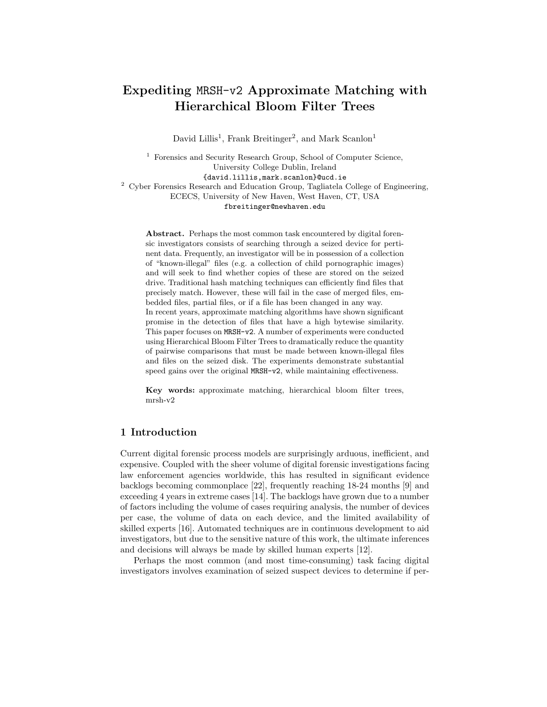# Expediting MRSH-v2 Approximate Matching with Hierarchical Bloom Filter Trees

David Lillis<sup>1</sup>, Frank Breitinger<sup>2</sup>, and Mark Scanlon<sup>1</sup>

<sup>1</sup> Forensics and Security Research Group, School of Computer Science, University College Dublin, Ireland {david.lillis,mark.scanlon}@ucd.ie <sup>2</sup> Cyber Forensics Research and Education Group, Tagliatela College of Engineering, ECECS, University of New Haven, West Haven, CT, USA fbreitinger@newhaven.edu

Abstract. Perhaps the most common task encountered by digital forensic investigators consists of searching through a seized device for pertinent data. Frequently, an investigator will be in possession of a collection of "known-illegal" files (e.g. a collection of child pornographic images) and will seek to find whether copies of these are stored on the seized drive. Traditional hash matching techniques can efficiently find files that precisely match. However, these will fail in the case of merged files, embedded files, partial files, or if a file has been changed in any way. In recent years, approximate matching algorithms have shown significant promise in the detection of files that have a high bytewise similarity. This paper focuses on MRSH-v2. A number of experiments were conducted using Hierarchical Bloom Filter Trees to dramatically reduce the quantity of pairwise comparisons that must be made between known-illegal files and files on the seized disk. The experiments demonstrate substantial speed gains over the original MRSH-v2, while maintaining effectiveness.

Key words: approximate matching, hierarchical bloom filter trees, mrsh-v2

# 1 Introduction

Current digital forensic process models are surprisingly arduous, inefficient, and expensive. Coupled with the sheer volume of digital forensic investigations facing law enforcement agencies worldwide, this has resulted in significant evidence backlogs becoming commonplace [22], frequently reaching 18-24 months [9] and exceeding 4 years in extreme cases [14]. The backlogs have grown due to a number of factors including the volume of cases requiring analysis, the number of devices per case, the volume of data on each device, and the limited availability of skilled experts [16]. Automated techniques are in continuous development to aid investigators, but due to the sensitive nature of this work, the ultimate inferences and decisions will always be made by skilled human experts [12].

Perhaps the most common (and most time-consuming) task facing digital investigators involves examination of seized suspect devices to determine if per-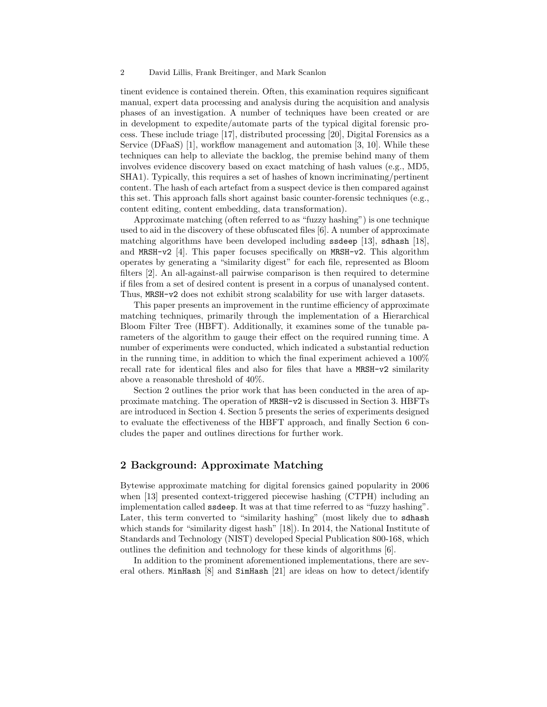#### 2 David Lillis, Frank Breitinger, and Mark Scanlon

tinent evidence is contained therein. Often, this examination requires significant manual, expert data processing and analysis during the acquisition and analysis phases of an investigation. A number of techniques have been created or are in development to expedite/automate parts of the typical digital forensic process. These include triage [17], distributed processing [20], Digital Forensics as a Service (DFaaS) [1], workflow management and automation [3, 10]. While these techniques can help to alleviate the backlog, the premise behind many of them involves evidence discovery based on exact matching of hash values (e.g., MD5, SHA1). Typically, this requires a set of hashes of known incriminating/pertinent content. The hash of each artefact from a suspect device is then compared against this set. This approach falls short against basic counter-forensic techniques (e.g., content editing, content embedding, data transformation).

Approximate matching (often referred to as "fuzzy hashing") is one technique used to aid in the discovery of these obfuscated files [6]. A number of approximate matching algorithms have been developed including ssdeep [13], sdhash [18], and MRSH-v2 [4]. This paper focuses specifically on MRSH-v2. This algorithm operates by generating a "similarity digest" for each file, represented as Bloom filters [2]. An all-against-all pairwise comparison is then required to determine if files from a set of desired content is present in a corpus of unanalysed content. Thus, MRSH-v2 does not exhibit strong scalability for use with larger datasets.

This paper presents an improvement in the runtime efficiency of approximate matching techniques, primarily through the implementation of a Hierarchical Bloom Filter Tree (HBFT). Additionally, it examines some of the tunable parameters of the algorithm to gauge their effect on the required running time. A number of experiments were conducted, which indicated a substantial reduction in the running time, in addition to which the final experiment achieved a 100% recall rate for identical files and also for files that have a MRSH-v2 similarity above a reasonable threshold of 40%.

Section 2 outlines the prior work that has been conducted in the area of approximate matching. The operation of MRSH-v2 is discussed in Section 3. HBFTs are introduced in Section 4. Section 5 presents the series of experiments designed to evaluate the effectiveness of the HBFT approach, and finally Section 6 concludes the paper and outlines directions for further work.

# 2 Background: Approximate Matching

Bytewise approximate matching for digital forensics gained popularity in 2006 when [13] presented context-triggered piecewise hashing (CTPH) including an implementation called ssdeep. It was at that time referred to as "fuzzy hashing". Later, this term converted to "similarity hashing" (most likely due to sdhash which stands for "similarity digest hash" [18]). In 2014, the National Institute of Standards and Technology (NIST) developed Special Publication 800-168, which outlines the definition and technology for these kinds of algorithms [6].

In addition to the prominent aforementioned implementations, there are several others. MinHash [8] and SimHash [21] are ideas on how to detect/identify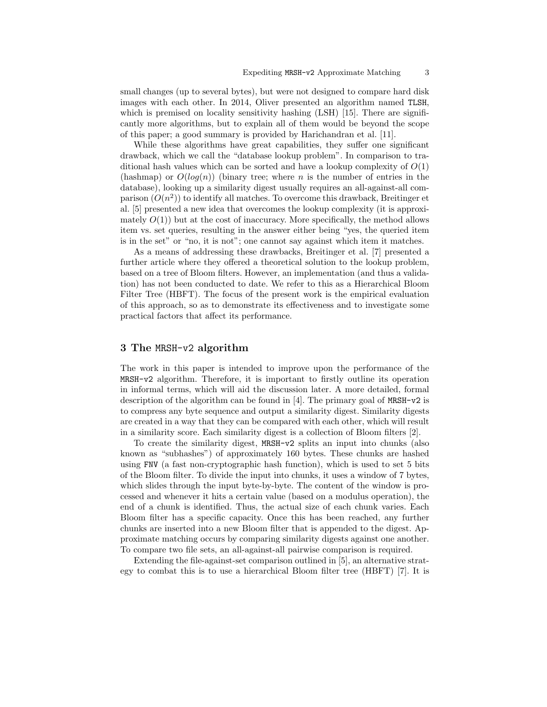small changes (up to several bytes), but were not designed to compare hard disk images with each other. In 2014, Oliver presented an algorithm named TLSH, which is premised on locality sensitivity hashing (LSH) [15]. There are significantly more algorithms, but to explain all of them would be beyond the scope of this paper; a good summary is provided by Harichandran et al. [11].

While these algorithms have great capabilities, they suffer one significant drawback, which we call the "database lookup problem". In comparison to traditional hash values which can be sorted and have a lookup complexity of  $O(1)$ (hashmap) or  $O(log(n))$  (binary tree; where n is the number of entries in the database), looking up a similarity digest usually requires an all-against-all comparison  $(O(n^2))$  to identify all matches. To overcome this drawback, Breitinger et al. [5] presented a new idea that overcomes the lookup complexity (it is approximately  $O(1)$ ) but at the cost of inaccuracy. More specifically, the method allows item vs. set queries, resulting in the answer either being "yes, the queried item is in the set" or "no, it is not"; one cannot say against which item it matches.

As a means of addressing these drawbacks, Breitinger et al. [7] presented a further article where they offered a theoretical solution to the lookup problem, based on a tree of Bloom filters. However, an implementation (and thus a validation) has not been conducted to date. We refer to this as a Hierarchical Bloom Filter Tree (HBFT). The focus of the present work is the empirical evaluation of this approach, so as to demonstrate its effectiveness and to investigate some practical factors that affect its performance.

## 3 The MRSH-v2 algorithm

The work in this paper is intended to improve upon the performance of the MRSH-v2 algorithm. Therefore, it is important to firstly outline its operation in informal terms, which will aid the discussion later. A more detailed, formal description of the algorithm can be found in [4]. The primary goal of MRSH-v2 is to compress any byte sequence and output a similarity digest. Similarity digests are created in a way that they can be compared with each other, which will result in a similarity score. Each similarity digest is a collection of Bloom filters [2].

To create the similarity digest, MRSH-v2 splits an input into chunks (also known as "subhashes") of approximately 160 bytes. These chunks are hashed using FNV (a fast non-cryptographic hash function), which is used to set 5 bits of the Bloom filter. To divide the input into chunks, it uses a window of 7 bytes, which slides through the input byte-by-byte. The content of the window is processed and whenever it hits a certain value (based on a modulus operation), the end of a chunk is identified. Thus, the actual size of each chunk varies. Each Bloom filter has a specific capacity. Once this has been reached, any further chunks are inserted into a new Bloom filter that is appended to the digest. Approximate matching occurs by comparing similarity digests against one another. To compare two file sets, an all-against-all pairwise comparison is required.

Extending the file-against-set comparison outlined in [5], an alternative strategy to combat this is to use a hierarchical Bloom filter tree (HBFT) [7]. It is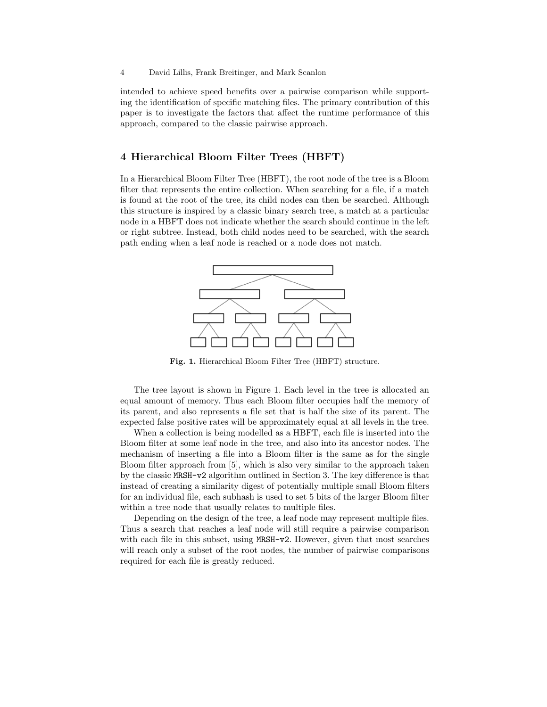intended to achieve speed benefits over a pairwise comparison while supporting the identification of specific matching files. The primary contribution of this paper is to investigate the factors that affect the runtime performance of this approach, compared to the classic pairwise approach.

# 4 Hierarchical Bloom Filter Trees (HBFT)

In a Hierarchical Bloom Filter Tree (HBFT), the root node of the tree is a Bloom filter that represents the entire collection. When searching for a file, if a match is found at the root of the tree, its child nodes can then be searched. Although this structure is inspired by a classic binary search tree, a match at a particular node in a HBFT does not indicate whether the search should continue in the left or right subtree. Instead, both child nodes need to be searched, with the search path ending when a leaf node is reached or a node does not match.



Fig. 1. Hierarchical Bloom Filter Tree (HBFT) structure.

The tree layout is shown in Figure 1. Each level in the tree is allocated an equal amount of memory. Thus each Bloom filter occupies half the memory of its parent, and also represents a file set that is half the size of its parent. The expected false positive rates will be approximately equal at all levels in the tree.

When a collection is being modelled as a HBFT, each file is inserted into the Bloom filter at some leaf node in the tree, and also into its ancestor nodes. The mechanism of inserting a file into a Bloom filter is the same as for the single Bloom filter approach from [5], which is also very similar to the approach taken by the classic MRSH-v2 algorithm outlined in Section 3. The key difference is that instead of creating a similarity digest of potentially multiple small Bloom filters for an individual file, each subhash is used to set 5 bits of the larger Bloom filter within a tree node that usually relates to multiple files.

Depending on the design of the tree, a leaf node may represent multiple files. Thus a search that reaches a leaf node will still require a pairwise comparison with each file in this subset, using MRSH-v2. However, given that most searches will reach only a subset of the root nodes, the number of pairwise comparisons required for each file is greatly reduced.

<sup>4</sup> David Lillis, Frank Breitinger, and Mark Scanlon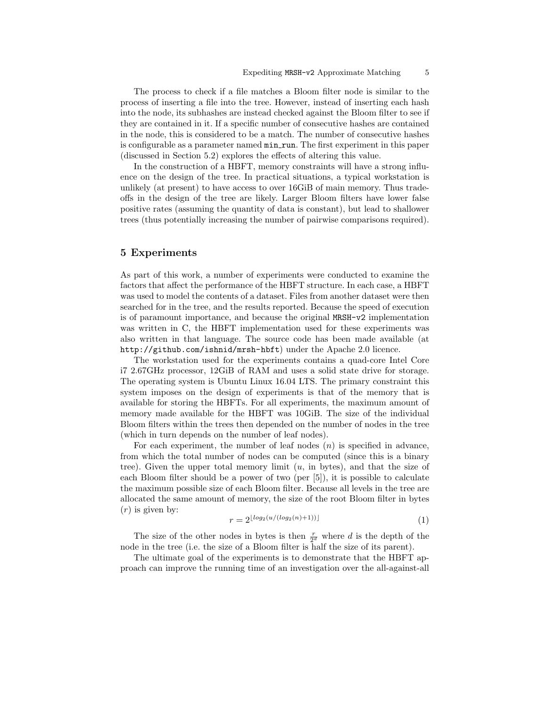The process to check if a file matches a Bloom filter node is similar to the process of inserting a file into the tree. However, instead of inserting each hash into the node, its subhashes are instead checked against the Bloom filter to see if they are contained in it. If a specific number of consecutive hashes are contained in the node, this is considered to be a match. The number of consecutive hashes is configurable as a parameter named  $\min \text{-}\text{run}$ . The first experiment in this paper (discussed in Section 5.2) explores the effects of altering this value.

In the construction of a HBFT, memory constraints will have a strong influence on the design of the tree. In practical situations, a typical workstation is unlikely (at present) to have access to over 16GiB of main memory. Thus tradeoffs in the design of the tree are likely. Larger Bloom filters have lower false positive rates (assuming the quantity of data is constant), but lead to shallower trees (thus potentially increasing the number of pairwise comparisons required).

# 5 Experiments

As part of this work, a number of experiments were conducted to examine the factors that affect the performance of the HBFT structure. In each case, a HBFT was used to model the contents of a dataset. Files from another dataset were then searched for in the tree, and the results reported. Because the speed of execution is of paramount importance, and because the original MRSH-v2 implementation was written in C, the HBFT implementation used for these experiments was also written in that language. The source code has been made available (at http://github.com/ishnid/mrsh-hbft) under the Apache 2.0 licence.

The workstation used for the experiments contains a quad-core Intel Core i7 2.67GHz processor, 12GiB of RAM and uses a solid state drive for storage. The operating system is Ubuntu Linux 16.04 LTS. The primary constraint this system imposes on the design of experiments is that of the memory that is available for storing the HBFTs. For all experiments, the maximum amount of memory made available for the HBFT was 10GiB. The size of the individual Bloom filters within the trees then depended on the number of nodes in the tree (which in turn depends on the number of leaf nodes).

For each experiment, the number of leaf nodes  $(n)$  is specified in advance, from which the total number of nodes can be computed (since this is a binary tree). Given the upper total memory limit  $(u, in bytes)$ , and that the size of each Bloom filter should be a power of two (per [5]), it is possible to calculate the maximum possible size of each Bloom filter. Because all levels in the tree are allocated the same amount of memory, the size of the root Bloom filter in bytes  $(r)$  is given by:

$$
r = 2^{\lfloor \log_2(u/(\log_2(n)+1)) \rfloor} \tag{1}
$$

The size of the other nodes in bytes is then  $\frac{r}{2^d}$  where d is the depth of the node in the tree (i.e. the size of a Bloom filter is half the size of its parent).

The ultimate goal of the experiments is to demonstrate that the HBFT approach can improve the running time of an investigation over the all-against-all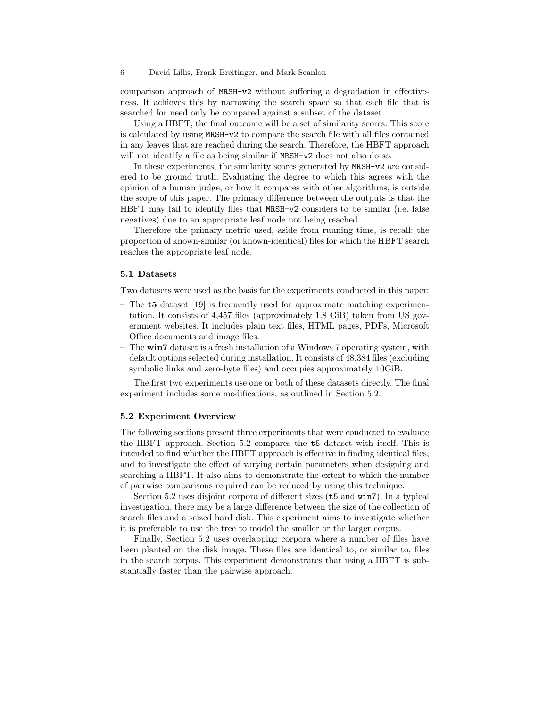#### 6 David Lillis, Frank Breitinger, and Mark Scanlon

comparison approach of MRSH-v2 without suffering a degradation in effectiveness. It achieves this by narrowing the search space so that each file that is searched for need only be compared against a subset of the dataset.

Using a HBFT, the final outcome will be a set of similarity scores. This score is calculated by using MRSH-v2 to compare the search file with all files contained in any leaves that are reached during the search. Therefore, the HBFT approach will not identify a file as being similar if MRSH-v2 does not also do so.

In these experiments, the similarity scores generated by MRSH-v2 are considered to be ground truth. Evaluating the degree to which this agrees with the opinion of a human judge, or how it compares with other algorithms, is outside the scope of this paper. The primary difference between the outputs is that the HBFT may fail to identify files that MRSH-v2 considers to be similar (i.e. false negatives) due to an appropriate leaf node not being reached.

Therefore the primary metric used, aside from running time, is recall: the proportion of known-similar (or known-identical) files for which the HBFT search reaches the appropriate leaf node.

#### 5.1 Datasets

Two datasets were used as the basis for the experiments conducted in this paper:

- The t5 dataset [19] is frequently used for approximate matching experimentation. It consists of 4,457 files (approximately 1.8 GiB) taken from US government websites. It includes plain text files, HTML pages, PDFs, Microsoft Office documents and image files.
- The win7 dataset is a fresh installation of a Windows 7 operating system, with default options selected during installation. It consists of 48,384 files (excluding symbolic links and zero-byte files) and occupies approximately 10GiB.

The first two experiments use one or both of these datasets directly. The final experiment includes some modifications, as outlined in Section 5.2.

#### 5.2 Experiment Overview

The following sections present three experiments that were conducted to evaluate the HBFT approach. Section 5.2 compares the t5 dataset with itself. This is intended to find whether the HBFT approach is effective in finding identical files, and to investigate the effect of varying certain parameters when designing and searching a HBFT. It also aims to demonstrate the extent to which the number of pairwise comparisons required can be reduced by using this technique.

Section 5.2 uses disjoint corpora of different sizes (t5 and win7). In a typical investigation, there may be a large difference between the size of the collection of search files and a seized hard disk. This experiment aims to investigate whether it is preferable to use the tree to model the smaller or the larger corpus.

Finally, Section 5.2 uses overlapping corpora where a number of files have been planted on the disk image. These files are identical to, or similar to, files in the search corpus. This experiment demonstrates that using a HBFT is substantially faster than the pairwise approach.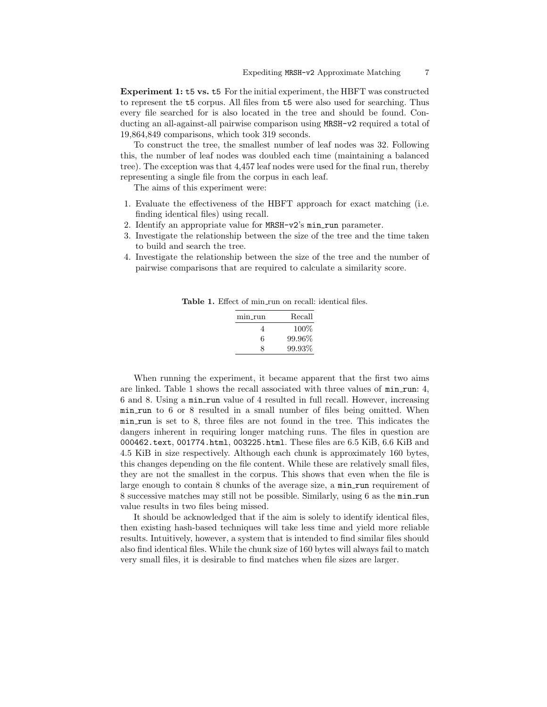Experiment 1: t5 vs. t5 For the initial experiment, the HBFT was constructed to represent the t5 corpus. All files from t5 were also used for searching. Thus every file searched for is also located in the tree and should be found. Conducting an all-against-all pairwise comparison using MRSH-v2 required a total of 19,864,849 comparisons, which took 319 seconds.

To construct the tree, the smallest number of leaf nodes was 32. Following this, the number of leaf nodes was doubled each time (maintaining a balanced tree). The exception was that 4,457 leaf nodes were used for the final run, thereby representing a single file from the corpus in each leaf.

The aims of this experiment were:

- 1. Evaluate the effectiveness of the HBFT approach for exact matching (i.e. finding identical files) using recall.
- 2. Identify an appropriate value for MRSH-v2's min run parameter.
- 3. Investigate the relationship between the size of the tree and the time taken to build and search the tree.
- 4. Investigate the relationship between the size of the tree and the number of pairwise comparisons that are required to calculate a similarity score.

Table 1. Effect of min\_run on recall: identical files.

| min run | Recall |
|---------|--------|
| 4       | 100%   |
| 6       | 99.96% |
| x       | 99.93% |

When running the experiment, it became apparent that the first two aims are linked. Table 1 shows the recall associated with three values of min run: 4, 6 and 8. Using a min run value of 4 resulted in full recall. However, increasing min run to 6 or 8 resulted in a small number of files being omitted. When min run is set to 8, three files are not found in the tree. This indicates the dangers inherent in requiring longer matching runs. The files in question are 000462.text, 001774.html, 003225.html. These files are 6.5 KiB, 6.6 KiB and 4.5 KiB in size respectively. Although each chunk is approximately 160 bytes, this changes depending on the file content. While these are relatively small files, they are not the smallest in the corpus. This shows that even when the file is large enough to contain 8 chunks of the average size, a min\_run requirement of 8 successive matches may still not be possible. Similarly, using 6 as the min run value results in two files being missed.

It should be acknowledged that if the aim is solely to identify identical files, then existing hash-based techniques will take less time and yield more reliable results. Intuitively, however, a system that is intended to find similar files should also find identical files. While the chunk size of 160 bytes will always fail to match very small files, it is desirable to find matches when file sizes are larger.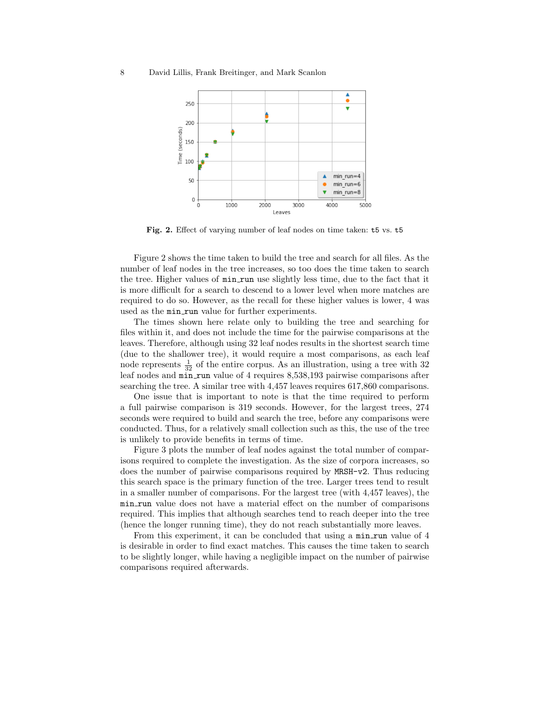#### 8 David Lillis, Frank Breitinger, and Mark Scanlon



Fig. 2. Effect of varying number of leaf nodes on time taken: t5 vs. t5

Figure 2 shows the time taken to build the tree and search for all files. As the number of leaf nodes in the tree increases, so too does the time taken to search the tree. Higher values of min run use slightly less time, due to the fact that it is more difficult for a search to descend to a lower level when more matches are required to do so. However, as the recall for these higher values is lower, 4 was used as the min\_run value for further experiments.

The times shown here relate only to building the tree and searching for files within it, and does not include the time for the pairwise comparisons at the leaves. Therefore, although using 32 leaf nodes results in the shortest search time (due to the shallower tree), it would require a most comparisons, as each leaf node represents  $\frac{1}{32}$  of the entire corpus. As an illustration, using a tree with 32 leaf nodes and min\_run value of 4 requires 8,538,193 pairwise comparisons after searching the tree. A similar tree with 4,457 leaves requires 617,860 comparisons.

One issue that is important to note is that the time required to perform a full pairwise comparison is 319 seconds. However, for the largest trees, 274 seconds were required to build and search the tree, before any comparisons were conducted. Thus, for a relatively small collection such as this, the use of the tree is unlikely to provide benefits in terms of time.

Figure 3 plots the number of leaf nodes against the total number of comparisons required to complete the investigation. As the size of corpora increases, so does the number of pairwise comparisons required by MRSH-v2. Thus reducing this search space is the primary function of the tree. Larger trees tend to result in a smaller number of comparisons. For the largest tree (with 4,457 leaves), the min run value does not have a material effect on the number of comparisons required. This implies that although searches tend to reach deeper into the tree (hence the longer running time), they do not reach substantially more leaves.

From this experiment, it can be concluded that using a min run value of 4 is desirable in order to find exact matches. This causes the time taken to search to be slightly longer, while having a negligible impact on the number of pairwise comparisons required afterwards.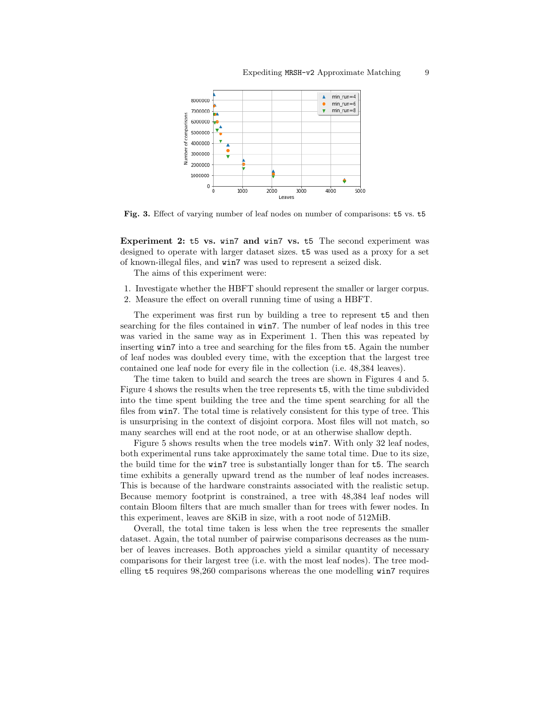

Fig. 3. Effect of varying number of leaf nodes on number of comparisons: t5 vs. t5

Experiment 2: t5 vs. win7 and win7 vs. t5 The second experiment was designed to operate with larger dataset sizes. t5 was used as a proxy for a set of known-illegal files, and win7 was used to represent a seized disk.

The aims of this experiment were:

- 1. Investigate whether the HBFT should represent the smaller or larger corpus.
- 2. Measure the effect on overall running time of using a HBFT.

The experiment was first run by building a tree to represent t5 and then searching for the files contained in win7. The number of leaf nodes in this tree was varied in the same way as in Experiment 1. Then this was repeated by inserting win7 into a tree and searching for the files from t5. Again the number of leaf nodes was doubled every time, with the exception that the largest tree contained one leaf node for every file in the collection (i.e. 48,384 leaves).

The time taken to build and search the trees are shown in Figures 4 and 5. Figure 4 shows the results when the tree represents t5, with the time subdivided into the time spent building the tree and the time spent searching for all the files from win7. The total time is relatively consistent for this type of tree. This is unsurprising in the context of disjoint corpora. Most files will not match, so many searches will end at the root node, or at an otherwise shallow depth.

Figure 5 shows results when the tree models win7. With only 32 leaf nodes, both experimental runs take approximately the same total time. Due to its size, the build time for the win7 tree is substantially longer than for t5. The search time exhibits a generally upward trend as the number of leaf nodes increases. This is because of the hardware constraints associated with the realistic setup. Because memory footprint is constrained, a tree with 48,384 leaf nodes will contain Bloom filters that are much smaller than for trees with fewer nodes. In this experiment, leaves are 8KiB in size, with a root node of 512MiB.

Overall, the total time taken is less when the tree represents the smaller dataset. Again, the total number of pairwise comparisons decreases as the number of leaves increases. Both approaches yield a similar quantity of necessary comparisons for their largest tree (i.e. with the most leaf nodes). The tree modelling t5 requires 98,260 comparisons whereas the one modelling win7 requires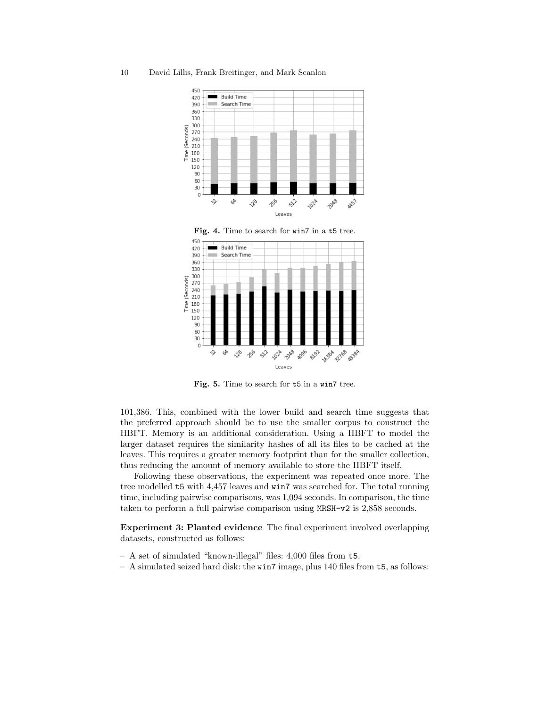10 David Lillis, Frank Breitinger, and Mark Scanlon





Fig. 5. Time to search for t5 in a win7 tree.

101,386. This, combined with the lower build and search time suggests that the preferred approach should be to use the smaller corpus to construct the HBFT. Memory is an additional consideration. Using a HBFT to model the larger dataset requires the similarity hashes of all its files to be cached at the leaves. This requires a greater memory footprint than for the smaller collection, thus reducing the amount of memory available to store the HBFT itself.

Following these observations, the experiment was repeated once more. The tree modelled t5 with 4,457 leaves and win7 was searched for. The total running time, including pairwise comparisons, was 1,094 seconds. In comparison, the time taken to perform a full pairwise comparison using MRSH-v2 is 2,858 seconds.

Experiment 3: Planted evidence The final experiment involved overlapping datasets, constructed as follows:

- A set of simulated "known-illegal" files: 4,000 files from t5.
- A simulated seized hard disk: the win7 image, plus 140 files from t5, as follows: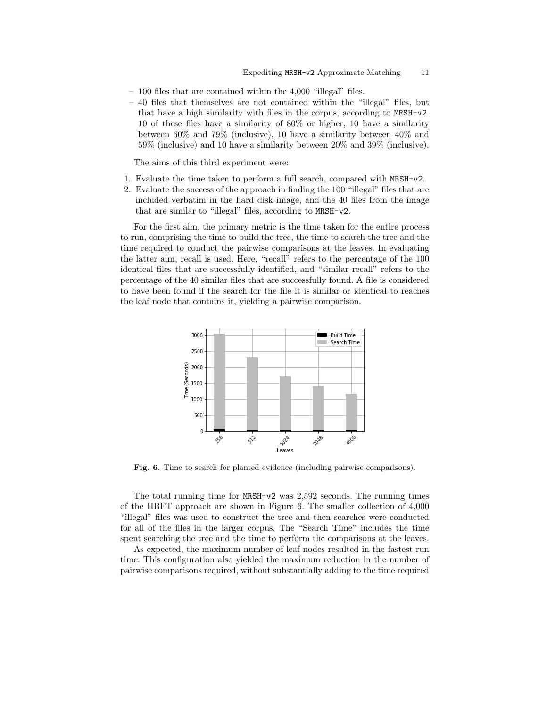- 100 files that are contained within the 4,000 "illegal" files.
- 40 files that themselves are not contained within the "illegal" files, but that have a high similarity with files in the corpus, according to MRSH-v2. 10 of these files have a similarity of 80% or higher, 10 have a similarity between 60% and 79% (inclusive), 10 have a similarity between 40% and 59% (inclusive) and 10 have a similarity between 20% and 39% (inclusive).

The aims of this third experiment were:

- 1. Evaluate the time taken to perform a full search, compared with MRSH-v2.
- 2. Evaluate the success of the approach in finding the 100 "illegal" files that are included verbatim in the hard disk image, and the 40 files from the image that are similar to "illegal" files, according to MRSH-v2.

For the first aim, the primary metric is the time taken for the entire process to run, comprising the time to build the tree, the time to search the tree and the time required to conduct the pairwise comparisons at the leaves. In evaluating the latter aim, recall is used. Here, "recall" refers to the percentage of the 100 identical files that are successfully identified, and "similar recall" refers to the percentage of the 40 similar files that are successfully found. A file is considered to have been found if the search for the file it is similar or identical to reaches the leaf node that contains it, yielding a pairwise comparison.



Fig. 6. Time to search for planted evidence (including pairwise comparisons).

The total running time for MRSH-v2 was 2,592 seconds. The running times of the HBFT approach are shown in Figure 6. The smaller collection of 4,000 "illegal" files was used to construct the tree and then searches were conducted for all of the files in the larger corpus. The "Search Time" includes the time spent searching the tree and the time to perform the comparisons at the leaves.

As expected, the maximum number of leaf nodes resulted in the fastest run time. This configuration also yielded the maximum reduction in the number of pairwise comparisons required, without substantially adding to the time required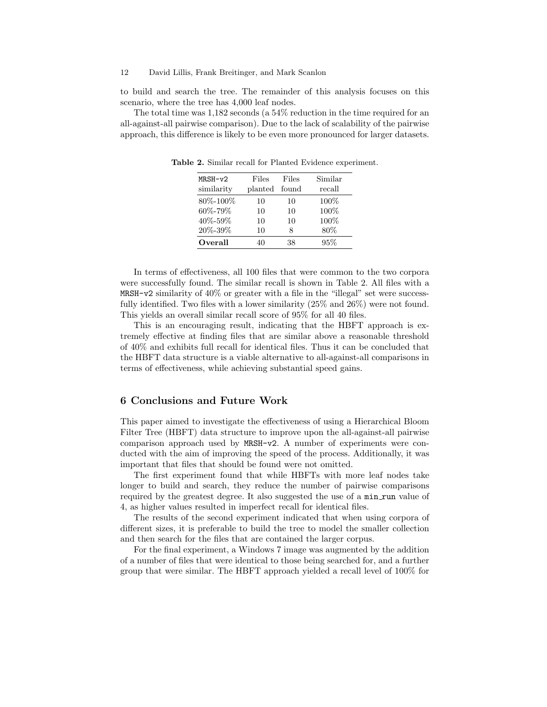to build and search the tree. The remainder of this analysis focuses on this scenario, where the tree has 4,000 leaf nodes.

The total time was 1,182 seconds (a 54% reduction in the time required for an all-against-all pairwise comparison). Due to the lack of scalability of the pairwise approach, this difference is likely to be even more pronounced for larger datasets.

| $MRSH-v2$  | Files         | Files | Similar |
|------------|---------------|-------|---------|
| similarity | planted found |       | recall  |
| 80\%-100\% | 10            | 10    | 100%    |
| 60%-79%    | 10            | 10    | 100%    |
| 40%-59%    | 10            | 10    | 100%    |
| 20%-39%    | 10            | 8     | 80%     |
| Overall    | 40            | 38    | 95%     |

Table 2. Similar recall for Planted Evidence experiment.

In terms of effectiveness, all 100 files that were common to the two corpora were successfully found. The similar recall is shown in Table 2. All files with a MRSH-v2 similarity of  $40\%$  or greater with a file in the "illegal" set were successfully identified. Two files with a lower similarity (25% and 26%) were not found. This yields an overall similar recall score of 95% for all 40 files.

This is an encouraging result, indicating that the HBFT approach is extremely effective at finding files that are similar above a reasonable threshold of 40% and exhibits full recall for identical files. Thus it can be concluded that the HBFT data structure is a viable alternative to all-against-all comparisons in terms of effectiveness, while achieving substantial speed gains.

## 6 Conclusions and Future Work

This paper aimed to investigate the effectiveness of using a Hierarchical Bloom Filter Tree (HBFT) data structure to improve upon the all-against-all pairwise comparison approach used by MRSH-v2. A number of experiments were conducted with the aim of improving the speed of the process. Additionally, it was important that files that should be found were not omitted.

The first experiment found that while HBFTs with more leaf nodes take longer to build and search, they reduce the number of pairwise comparisons required by the greatest degree. It also suggested the use of a min run value of 4, as higher values resulted in imperfect recall for identical files.

The results of the second experiment indicated that when using corpora of different sizes, it is preferable to build the tree to model the smaller collection and then search for the files that are contained the larger corpus.

For the final experiment, a Windows 7 image was augmented by the addition of a number of files that were identical to those being searched for, and a further group that were similar. The HBFT approach yielded a recall level of 100% for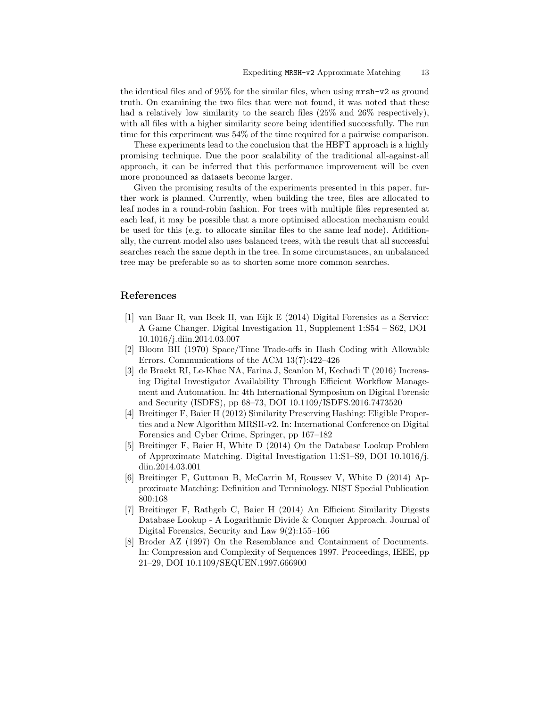the identical files and of 95% for the similar files, when using mrsh-v2 as ground truth. On examining the two files that were not found, it was noted that these had a relatively low similarity to the search files  $(25\%$  and  $26\%$  respectively), with all files with a higher similarity score being identified successfully. The run time for this experiment was 54% of the time required for a pairwise comparison.

These experiments lead to the conclusion that the HBFT approach is a highly promising technique. Due the poor scalability of the traditional all-against-all approach, it can be inferred that this performance improvement will be even more pronounced as datasets become larger.

Given the promising results of the experiments presented in this paper, further work is planned. Currently, when building the tree, files are allocated to leaf nodes in a round-robin fashion. For trees with multiple files represented at each leaf, it may be possible that a more optimised allocation mechanism could be used for this (e.g. to allocate similar files to the same leaf node). Additionally, the current model also uses balanced trees, with the result that all successful searches reach the same depth in the tree. In some circumstances, an unbalanced tree may be preferable so as to shorten some more common searches.

# References

- [1] van Baar R, van Beek H, van Eijk E (2014) Digital Forensics as a Service: A Game Changer. Digital Investigation 11, Supplement 1:S54 – S62, DOI 10.1016/j.diin.2014.03.007
- [2] Bloom BH (1970) Space/Time Trade-offs in Hash Coding with Allowable Errors. Communications of the ACM 13(7):422–426
- [3] de Braekt RI, Le-Khac NA, Farina J, Scanlon M, Kechadi T (2016) Increasing Digital Investigator Availability Through Efficient Workflow Management and Automation. In: 4th International Symposium on Digital Forensic and Security (ISDFS), pp 68–73, DOI 10.1109/ISDFS.2016.7473520
- [4] Breitinger F, Baier H (2012) Similarity Preserving Hashing: Eligible Properties and a New Algorithm MRSH-v2. In: International Conference on Digital Forensics and Cyber Crime, Springer, pp 167–182
- [5] Breitinger F, Baier H, White D (2014) On the Database Lookup Problem of Approximate Matching. Digital Investigation 11:S1–S9, DOI 10.1016/j. diin.2014.03.001
- [6] Breitinger F, Guttman B, McCarrin M, Roussev V, White D (2014) Approximate Matching: Definition and Terminology. NIST Special Publication 800:168
- [7] Breitinger F, Rathgeb C, Baier H (2014) An Efficient Similarity Digests Database Lookup - A Logarithmic Divide & Conquer Approach. Journal of Digital Forensics, Security and Law 9(2):155–166
- [8] Broder AZ (1997) On the Resemblance and Containment of Documents. In: Compression and Complexity of Sequences 1997. Proceedings, IEEE, pp 21–29, DOI 10.1109/SEQUEN.1997.666900